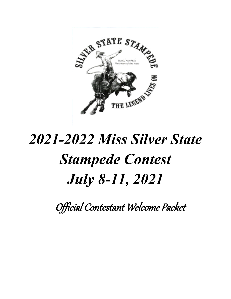

# *2021-2022 Miss Silver State Stampede Contest July 8-11, 2021*

Official Contestant Welcome Packet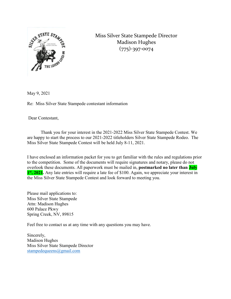

Miss Silver State Stampede Director Madison Hughes (775)-397-0074

May 9, 2021

Re: Miss Silver State Stampede contestant information

Dear Contestant,

Thank you for your interest in the 2021-2022 Miss Silver State Stampede Contest. We are happy to start the process to our 2021-2022 titleholders Silver State Stampede Rodeo. The Miss Silver State Stampede Contest will be held July 8-11, 2021.

I have enclosed an information packet for you to get familiar with the rules and regulations prior to the competition. Some of the documents will require signatures and notary, please do not overlook these documents. All paperwork must be mailed in, **postmarked no later than July 1st, 2021.** Any late entries will require a late fee of \$100. Again, we appreciate your interest in the Miss Silver State Stampede Contest and look forward to meeting you.

Please mail applications to: Miss Silver State Stampede Attn: Madison Hughes 600 Palace Pkwy Spring Creek, NV, 89815

Feel free to contact us at any time with any questions you may have.

Sincerely, Madison Hughes Miss Silver State Stampede Director stampedequeens@gmail.com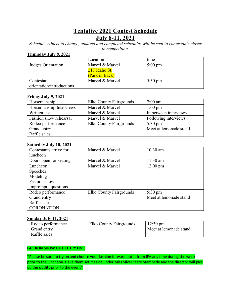# **Tentative 2021 Contest Schedule July 8-11, 2021**

*Schedule subject to change, updated and completed schedules will be sent to contestants closer to competition.*

#### **Thursday July 8, 2021**

|                           | Location        | time              |
|---------------------------|-----------------|-------------------|
| Judges Orientation        | Marvel & Marvel | $5:00 \text{ pm}$ |
|                           | 217 Idaho St.   |                   |
|                           | (Park in Back)  |                   |
| Contestant                | Marvel & Marvel | $5:30 \text{ pm}$ |
| orientation/introductions |                 |                   |

#### **Friday July 9, 2021**

| Horsemanship            | Elko County Fairgrounds | $7:00$ am              |
|-------------------------|-------------------------|------------------------|
| Horsemanship Interviews | Marvel & Marvel         | $1:00 \text{ pm}$      |
| Written test            | Marvel & Marvel         | In between interviews  |
| Fashion show rehearsal  | Marvel & Marvel         | Following interviews   |
| Rodeo performance       | Elko County Fairgrounds | $5:30 \text{ pm}$      |
| Grand entry             |                         | Meet at lemonade stand |
| Raffle sales            |                         |                        |

#### **Saturday July 10, 2021**

| Contestants arrive for | Marvel & Marvel         | $10:30$ am             |
|------------------------|-------------------------|------------------------|
| luncheon               |                         |                        |
| Doors open for seating | Marvel & Marvel         | 11:30 am               |
| Luncheon               | Marvel & Marvel         | $12:00 \text{ pm}$     |
| Speeches               |                         |                        |
| Modeling               |                         |                        |
| Fashion show           |                         |                        |
| Impromptu questions    |                         |                        |
| Rodeo performance      | Elko County Fairgrounds | $5:30 \text{ pm}$      |
| Grand entry            |                         | Meet at lemonade stand |
| Raffle sales           |                         |                        |
| <b>CORONATION</b>      |                         |                        |

#### **Sunday July 11, 2021**

| Rodeo performance<br>Grand entry<br>Raffle sales | <b>Elko County Fairgrounds</b> | $12:30 \text{ pm}$<br>Meet at lemonade stand |
|--------------------------------------------------|--------------------------------|----------------------------------------------|
|--------------------------------------------------|--------------------------------|----------------------------------------------|

#### **FASHION SHOW OUTFIT TRY ON'S**

\*Please be sure to try on and choose your fashion forward outfit from IFA any time during the week prior to the luncheon. Have them set it aside under Miss Silver State Stampede and the director will pick up the outfits prior to the event\*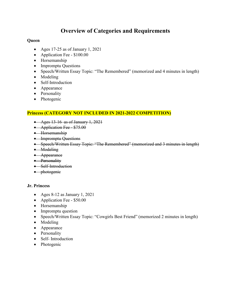# **Overview of Categories and Requirements**

#### **Queen**

- Ages 17-25 as of January 1, 2021
- Application Fee \$100.00
- Horsemanship
- Impromptu Questions
- Speech/Written Essay Topic: "The Remembered" (memorized and 4 minutes in length)
- Modeling
- Self-Introduction
- Appearance
- Personality
- Photogenic

#### **Princess (CATEGORY NOT INCLUDED IN 2021-2022 COMPETITION)**

- Ages  $13-16$  as of January 1, 2021
- Application Fee \$75.00
- Horsemanship
- Impromptu Questions
- Speech/Written Essay Topic: "The Remembered" (memorized and 3 minutes in length)
- Modeling
- Appearance
- Personality
- Self-Introduction
- photogenie

#### **Jr. Princess**

- Ages 8-12 as January 1, 2021
- Application Fee \$50.00
- Horsemanship
- Impromptu question
- Speech/Written Essay Topic: "Cowgirls Best Friend" (memorized 2 minutes in length)
- Modeling
- Appearance
- Personality
- Self- Introduction
- Photogenic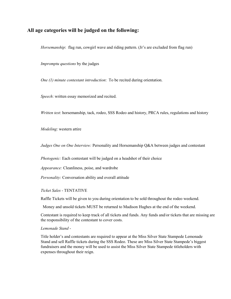#### **All age categories will be judged on the following:**

*Horsemanship*: flag run, cowgirl wave and riding pattern. (Jr's are excluded from flag run)

*Impromptu questions* by the judges

*One (1) minute contestant introduction*: To be recited during orientation.

*Speech*: written essay memorized and recited.

*Written test*: horsemanship, tack, rodeo, SSS Rodeo and history, PRCA rules, regulations and history

*Modeling*: western attire

*Judges One on One Interview:* Personality and Horsemanship Q&A between judges and contestant

*Photogenic:* Each contestant will be judged on a headshot of their choice

*Appearance:* Cleanliness, poise, and wardrobe

*Personality:* Conversation ability and overall attitude

*Ticket Sales* - TENTATIVE

Raffle Tickets will be given to you during orientation to be sold throughout the rodeo weekend.

Money and unsold tickets MUST be returned to Madison Hughes at the end of the weekend.

Contestant is required to keep track of all tickets and funds. Any funds and/or tickets that are missing are the responsibility of the contestant to cover costs.

*Lemonade Stand* -

Title holder's and contestants are required to appear at the Miss Silver State Stampede Lemonade Stand and sell Raffle tickets during the SSS Rodeo. These are Miss Silver State Stampede's biggest fundraisers and the money will be used to assist the Miss Silver State Stampede titleholders with expenses throughout their reign.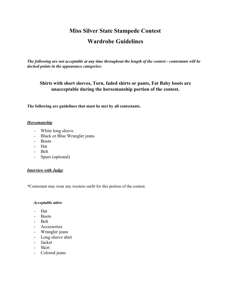# **Miss Silver State Stampede Contest**

# **Wardrobe Guidelines**

*The following are not acceptable at any time throughout the length of the contest - contestants will be docked points in the appearance categories:*

#### **Shirts with short sleeves, Torn, faded shirts or pants, Fat Baby boots are unacceptable during the horsemanship portion of the contest.**

**The following are guidelines that must be met by all contestants.**

#### *Horsemanship*

- White long sleeve
- Black or Blue Wrangler jeans
- Boots
- Hat
- Belt
- Spurs (optional)

#### *Interview with Judge*

*\**Contestant may wear any western outfit for this portion of the contest.

#### *Acceptable attire*

- Hat
- Boots
- Belt
- Accessories
- Wrangler jeans
- Long sleeve shirt
- Jacket
- Skirt
- Colored jeans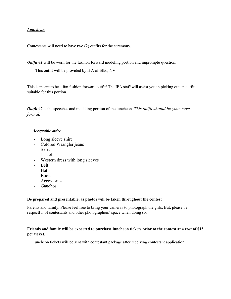#### *Luncheon*

Contestants will need to have two (2) outfits for the ceremony.

*Outfit #1* will be worn for the fashion forward modeling portion and impromptu question.

This outfit will be provided by IFA of Elko, NV.

This is meant to be a fun fashion forward outfit! The IFA staff will assist you in picking out an outfit suitable for this portion.

*Outfit #2* is the speeches and modeling portion of the luncheon. *This outfit should be your most formal.*

#### *Acceptable attire*

- Long sleeve shirt
- Colored Wrangler jeans
- Skirt
- Jacket
- Western dress with long sleeves
- Belt
- Hat
- Boots
- Accessories
- Gauchos

#### **Be prepared and presentable, as photos will be taken throughout the contest**

Parents and family: Please feel free to bring your cameras to photograph the girls. But, please be respectful of contestants and other photographers' space when doing so.

#### **Friends and family will be expected to purchase luncheon tickets prior to the contest at a cost of \$15 per ticket.**

Luncheon tickets will be sent with contestant package after receiving contestant application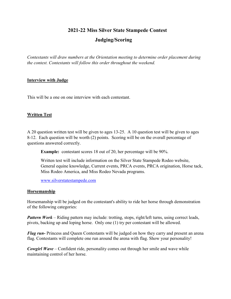### **2021-22 Miss Silver State Stampede Contest**

## **Judging/Scoring**

*Contestants will draw numbers at the Orientation meeting to determine order placement during the contest. Contestants will follow this order throughout the weekend.* 

#### **Interview with Judge**

This will be a one on one interview with each contestant.

#### **Written Test**

A 20 question written test will be given to ages 13-25. A 10 question test will be given to ages 8-12. Each question will be worth (2) points. Scoring will be on the overall percentage of questions answered correctly.

**Example:** contestant scores 18 out of 20, her percentage will be 90%.

Written test will include information on the Silver State Stampede Rodeo website, General equine knowledge, Current events, PRCA events, PRCA origination, Horse tack, Miss Rodeo America, and Miss Rodeo Nevada programs.

[www.silverstatestampede.com](http://www.silverstatestampede.com/)

#### **Horsemanship**

Horsemanship will be judged on the contestant's ability to ride her horse through demonstration of the following categories:

*Pattern Work* – Riding pattern may include: trotting, stops, right/left turns, using correct leads, pivots, backing up and loping horse. Only one (1) try per contestant will be allowed.

*Flag run-* Princess and Queen Contestants will be judged on how they carry and present an arena flag. Contestants will complete one run around the arena with flag. Show your personality!

*Cowgirl Wave* – Confident ride, personality comes out through her smile and wave while maintaining control of her horse.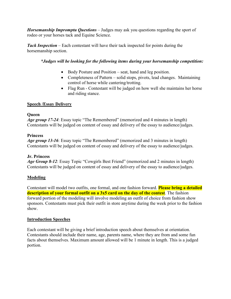*Horsemanship Impromptu Questions* – Judges may ask you questions regarding the sport of rodeo or your horses tack and Equine Science.

*Tack Inspection* – Each contestant will have their tack inspected for points during the horsemanship section.

#### *\*Judges will be looking for the following items during your horsemanship competition:*

- Body Posture and Position seat, hand and leg position.
- Completeness of Pattern solid stops, pivots, lead changes. Maintaining control of horse while cantering/trotting.
- Flag Run Contestant will be judged on how well she maintains her horse and riding stance.

#### **Speech /Essay Delivery**

#### **Queen**

*Age group 17-24*: Essay topic "The Remembered" (memorized and 4 minutes in length) Contestants will be judged on content of essay and delivery of the essay to audience/judges.

#### **Princess**

*Age group 13-16*: Essay topic "The Remembered" (memorized and 3 minutes in length) Contestants will be judged on content of essay and delivery of the essay to audience/judges.

#### **Jr. Princess**

*Age Group 8-12*: Essay Topic "Cowgirls Best Friend" (memorized and 2 minutes in length) Contestants will be judged on content of essay and delivery of the essay to audience/judges.

#### **Modeling**

Contestant will model two outfits, one formal, and one fashion forward. **Please bring a detailed description of your formal outfit on a 3x5 card on the day of the contest**. The fashion forward portion of the modeling will involve modeling an outfit of choice from fashion show sponsors. Contestants must pick their outfit in store anytime during the week prior to the fashion show.

#### **Introduction Speeches**

Each contestant will be giving a brief introduction speech about themselves at orientation. Contestants should include their name, age, parents name, where they are from and some fun facts about themselves. Maximum amount allowed will be 1 minute in length. This is a judged portion.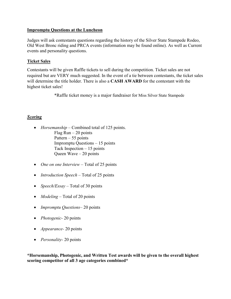#### **Impromptu Questions at the Luncheon**

Judges will ask contestants questions regarding the history of the Silver State Stampede Rodeo, Old West Bronc riding and PRCA events (information may be found online). As well as Current events and personality questions.

#### **Ticket Sales**

Contestants will be given Raffle tickets to sell during the competition. Ticket sales are not required but are VERY much suggested. In the event of a tie between contestants, the ticket sales will determine the title holder. There is also a **CASH AWARD** for the contestant with the highest ticket sales!

\*Raffle ticket money is a major fundraiser for Miss Silver State Stampede

#### *Scoring*

- *Horsemanship* Combined total of 125 points. Flag  $Run - 20$  points Pattern  $-55$  points Impromptu Questions – 15 points Tack Inspection – 15 points Queen Wave – 20 points
- *One on one Interview* Total of 25 points
- *Introduction Speech* Total of 25 points
- *Speech/Essay* Total of 30 points
- *Modeling* Total of 20 points
- *Impromptu Questions* 20 points
- *Photogenic-* 20 points
- *Appearance-* 20 points
- *Personality-* 20 points

**\*Horsemanship, Photogenic, and Written Test awards will be given to the overall highest scoring competitor of all 3 age categories combined\***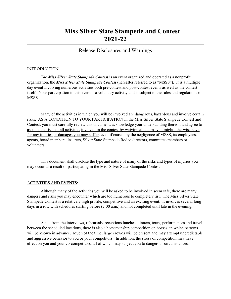# **Miss Silver State Stampede and Contest 2021-22**

#### Release Disclosures and Warnings

#### INTRODUCTION:

*The Miss Silver State Stampede Contest* is an event organized and operated as a nonprofit organization, the *Miss Silver State Stampede Contest* (hereafter referred to as "MSSS"). It is a multiple day event involving numerous activities both pre-contest and post-contest events as well as the contest itself. Your participation in this event is a voluntary activity and is subject to the rules and regulations of MSSS.

 Many of the activities in which you will be involved are dangerous, hazardous and involve certain risks. AS A CONDITION TO YOUR PARTICIPATION in the Miss Silver State Stampede Contest and Contest, you must carefully review this document, acknowledge your understanding thereof, and agree to assume the risks of all activities involved in the contest by waiving all claims you might otherwise have for any injuries or damages you may suffer, even if caused by the negligence of MSSS, its employees, agents, board members, insurers, Silver State Stampede Rodeo directors, committee members or volunteers.

 This document shall disclose the type and nature of many of the risks and types of injuries you may occur as a result of participating in the Miss Silver State Stampede Contest.

#### ACTIVITIES AND EVENTS:

Although many of the activities you will be asked to be involved in seem safe, there are many dangers and risks you may encounter which are too numerous to completely list. The Miss Silver State Stampede Contest is a relatively high profile, competitive and an exciting event. It involves several long days in a row with schedules starting before (7:00 a.m.) and not completed until late in the evening.

Aside from the interviews, rehearsals, receptions lunches, dinners, tours, performances and travel between the scheduled locations, there is also a horsemanship competition on horses, in which patterns will be known in advance. Much of the time, large crowds will be present and may attempt unpredictable and aggressive behavior to you or your competitors. In addition, the stress of competition may have effect on you and your co-competitors, all of which may subject you to dangerous circumstances.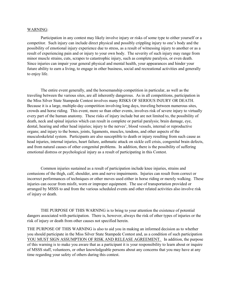#### WARNING:

Participation in any contest may likely involve injury or risks of some type to either yourself or a competitor. Such injury can include direct physical and possibly crippling injury to one's body and the possibility of emotional injury experience due to stress, as a result of witnessing injury to another or as a result of experiencing pain and or injury to your own body. The severity of such injury may range from minor muscle strains, cuts, scrapes to catastrophic injury, such as complete paralysis, or even death. Since injuries can impair your general physical and mental health, your appearances and hinder your future ability to earn a living, to engage in other business, social and recreational activities and generally to enjoy life.

 The entire event generally, and the horsemanship competition in particular, as well as the traveling between the various sites, are all inherently dangerous. As in all competitions, participation in the Miss Silver State Stampede Contest involves many RISKS OF SERIOUS INJURY OR DEATH. Because it is a large, multiple-day competition involving long days, traveling between numerous sites, crowds and horse riding. This event, more so than other events, involves risk of severe injury to virtually every part of the human anatomy. These risks of injury include but are not limited to, the possibility of death, neck and spinal injuries which can result in complete or partial paralysis; brain damage, eye, dental, hearing and other head injuries; injury to the nerves', blood vessels, internal or reproductive organs; and injury to the bones, joints, ligaments, muscles, tendons, and other aspects of the musculoskeletal system. Participants are also susceptible to death or injury resulting from such cause as head injuries, internal injuries, heart failure, asthmatic attack on sickle cell crisis, congenital brain defects, and from natural causes of other congenital problems. In addition, there is the possibility of suffering emotional distress or psychological injury as a result of participating in this Contest.

Common injuries sustained as a result of participation include knee injuries, strains and contusions of the thigh, calf, shoulder, arm and nerve impairments. Injuries can result from correct or incorrect performances of techniques or other moves used either in horse riding or merely walking. These injuries can occur from misfit, worn or improper equipment. The use of transportation provided or arranged by MSSS to and from the various scheduled events and other related activities also involve risk of injury or death.

THE PURPOSE OF THIS WARNING is to bring to your attention the existence of potential dangers associated with participation. There is, however, always the risk of other types of injuries or the risk of injury or death from other causes not specified herein.

THE PURPOSE OF THIS WARNING is also to aid you in making an informed decision as to whether you should participate in the Miss Silver State Stampede Contest and, as a condition of such participation YOU MUST SIGN ASSUMPTION OF RISK AND RELEASE AGREEMENT. In addition, the purpose of this warning is to make you aware that as a participant it is your responsibility to learn about or inquire of MSSS staff, volunteers, or other knowledgeable persons about any concerns that you may have at any time regarding your safety of others during this contest.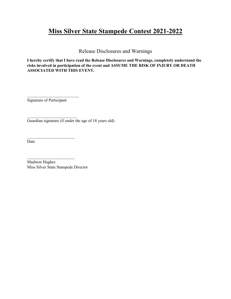# **Miss Silver State Stampede Contest 2021-2022**

Release Disclosures and Warnings

**I hereby certify that I have read the Release Disclosures and Warnings, completely understand the risks involved in participation of the event and ASSUME THE RISK OF INJURY OR DEATH ASSOCIATED WITH THIS EVENT.**

Signature of Participant

 $\mathcal{L}_\text{max}$  , where  $\mathcal{L}_\text{max}$  , we have the set of  $\mathcal{L}_\text{max}$ 

 $\mathcal{L}_\text{max}$  , where  $\mathcal{L}_\text{max}$  , we have the set of  $\mathcal{L}_\text{max}$ 

 $\mathcal{L}_\text{max}$  , where  $\mathcal{L}_\text{max}$  , we have the set of  $\mathcal{L}_\text{max}$ 

 $\mathcal{L}_\text{max}$  , where  $\mathcal{L}_\text{max}$  , we have the set of  $\mathcal{L}_\text{max}$ 

Guardian signature (if under the age of 18 years old)

Date

Madison Hughes Miss Silver State Stampede Director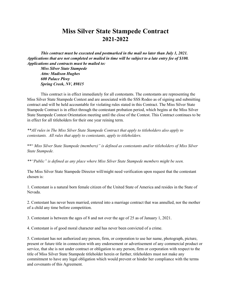# **Miss Silver State Stampede Contract 2021-2022**

*This contract must be executed and postmarked in the mail no later than July 1, 2021. Applications that are not completed or mailed in time will be subject to a late entry fee of \$100. Applications and contracts must be mailed to:*

*Miss Silver State Stampede Attn: Madison Hughes 600 Palace Pkwy Spring Creek, NV, 89815* 

This contract is in effect immediately for all contestants. The contestants are representing the Miss Silver State Stampede Contest and are associated with the SSS Rodeo as of signing and submitting contract and will be held accountable for violating rules stated in this Contract. The Miss Silver State Stampede Contract is in effect through the contestant probation period, which begins at the Miss Silver State Stampede Contest Orientation meeting until the close of the Contest. This Contract continues to be in effect for all titleholders for their one year reining term.

*\*\*All rules in The Miss Silver State Stampede Contract that apply to titleholders also apply to contestants. All rules that apply to contestants, apply to titleholders.* 

\*\*" *Miss Silver State Stampede (members)" is defined as contestants and/or titleholders of Miss Silver State Stampede.* 

*\*\*"Public" is defined as any place where Miss Silver State Stampede members might be seen.*

The Miss Silver State Stampede Director will/might need verification upon request that the contestant chosen is:

1. Contestant is a natural born female citizen of the United State of America and resides in the State of Nevada.

2. Contestant has never been married, entered into a marriage contract that was annulled, nor the mother of a child any time before competition.

3. Contestant is between the ages of 8 and not over the age of 25 as of January 1, 2021.

4. Contestant is of good moral character and has never been convicted of a crime.

5. Contestant has not authorized any person, firm, or corporation to use her name, photograph, picture, present or future title in connection with any endorsement or advertisement of any commercial product or service, that she is not under contract or obligation to any person, firm or corporation with respect to the title of Miss Silver State Stampede titleholder herein or further, titleholders must not make any commitment to have any legal obligation which would prevent or hinder her compliance with the terms and covenants of this Agreement.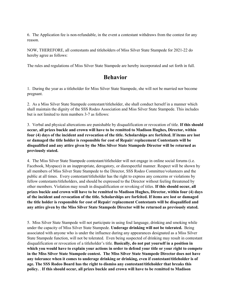6. The Application fee is non-refundable, in the event a contestant withdraws from the contest for any reason.

NOW, THEREFORE, all contestants and titleholders of Miss Silver State Stampede for 2021-22 do hereby agree as follows:

The rules and regulations of Miss Silver State Stampede are hereby incorporated and set forth in full.

## **Behavior**

1. During the year as a titleholder for Miss Silver State Stampede, she will not be married nor become pregnant.

2. As a Miss Silver State Stampede contestant/titleholder, she shall conduct herself in a manner which shall maintain the dignity of the SSS Rodeo Association and Miss Silver State Stampede. This includes but is not limited to item numbers 3-7 as follows:

3. Verbal and physical altercations are punishable by disqualification or revocation of title. **If this should occur, all prizes buckle and crown will have to be remitted to Madison Hughes, Director, within four (4) days of the incident and revocation of the title. Scholarships are forfeited. If items are lost or damaged the title holder is responsible for cost of Repair/ replacement Contestants will be disqualified and any attire given by the Miss Silver State Stampede Director will be returned as previously stated.**

4. The Miss Silver State Stampede contestant/titleholder will not engage in online social forums (i.e. Facebook, Myspace) in an inappropriate, derogatory, or disrespectful manner. Respect will be shown by all members of Miss Silver State Stampede to the Director, SSS Rodeo Committee/volunteers and the public at all times. Every contestant/titleholder has the right to express any concerns or violations by fellow contestants/titleholders, and should be expressed to the Director without feeling threatened by other members. Violation may result in disqualification or revoking of titles. **If this should occur, all prizes buckle and crown will have to be remitted to Madison Hughes, Director, within four (4) days of the incident and revocation of the title. Scholarships are forfeited. If items are lost or damaged the title holder is responsible for cost of Repair/ replacement Contestants will be disqualified and any attire given by the Miss Silver State Stampede Director will be returned as previously stated.**

5. Miss Silver State Stampede will not participate in using foul language, drinking and smoking while under the capacity of Miss Silver State Stampede. **Underage drinking will not be tolerated.** Being associated with anyone who is under the influence during any appearances designated as a Miss Silver State Stampede function, will not be tolerated. Even being suspected of drinking may result in contestant disqualification or revocation of a titleholder's title. **Basically, do not put yourself in a position in which you would have to explain your actions in order to defend your title or your right to compete in the Miss Silver State Stampede contest. The Miss Silver State Stampede Director does not have any tolerance when it comes to underage drinking or drinking, even if contestant/titleholder is of age. The SSS Rodeo Board has the right to dismiss any contestant/titleholder that breaks this policy.** . **If this should occur, all prizes buckle and crown will have to be remitted to Madison**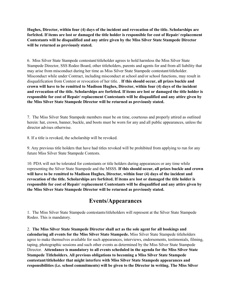**Hughes, Director, within four (4) days of the incident and revocation of the title. Scholarships are forfeited. If items are lost or damaged the title holder is responsible for cost of Repair/ replacement Contestants will be disqualified and any attire given by the Miss Silver State Stampede Director will be returned as previously stated.**

6. Miss Silver State Stampede contestant/titleholder agrees to hold harmless the Miss Silver State Stampede Director, SSS Rodeo Board, other titleholders, parents and agents for and from all liability that may arise from misconduct during her time as Miss Silver State Stampede contestant/titleholder. Misconduct while under Contract, including misconduct at school and/or school functions, may result in disqualification from Contest or revocation of her title. . **If this should occur, all prizes buckle and crown will have to be remitted to Madison Hughes, Director, within four (4) days of the incident and revocation of the title. Scholarships are forfeited. If items are lost or damaged the title holder is responsible for cost of Repair/ replacement Contestants will be disqualified and any attire given by the Miss Silver State Stampede Director will be returned as previously stated.**

7. The Miss Silver State Stampede members must be on time, courteous and properly attired as outlined herein: hat, crown, banner, buckle, and boots must be worn for any and all public appearances, unless the director advises otherwise.

8. If a title is revoked, the scholarship will be revoked.

9. Any previous title holders that have had titles revoked will be prohibited from applying to run for any future Miss Silver State Stampede Contests.

10. PDA will not be tolerated for contestants or title holders during appearances or any time while representing the Silver State Stampede and the MSSS. **If this should occur, all prizes buckle and crown will have to be remitted to Madison Hughes, Director, within four (4) days of the incident and revocation of the title. Scholarships are forfeited. If items are lost or damaged the title holder is responsible for cost of Repair/ replacement Contestants will be disqualified and any attire given by the Miss Silver State Stampede Director will be returned as previously stated.**

## **Events/Appearances**

1. The Miss Silver State Stampede contestants/titleholders will represent at the Silver State Stampede Rodeo. This is mandatory.

2. **The Miss Silver State Stampede Director shall act as the sole agent for all bookings and calendaring all events for the Miss Silver State Stampede.** Miss Silver State Stampede titleholders agree to make themselves available for such appearances, interviews, endorsements, testimonials, filming, taping, photographic sessions and such other events as determined by the Miss Silver State Stampede Director. **Attendance is mandatory to all events scheduled in the agenda for the Miss Silver State Stampede Titleholders. All previous obligations to becoming a Miss Silver State Stampede contestant/titleholder that might interfere with Miss Silver State Stampede appearances and responsibilities (i.e. school commitments) will be given to the Director in writing. The Miss Silver**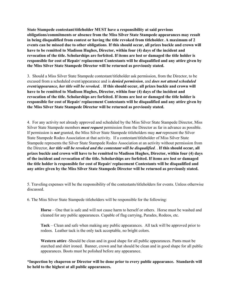**State Stampede contestant/titleholder MUST have a responsibility at said previous obligations/commitments or absence from the Miss Silver State Stampede appearances may result in being disqualified from contest or having the title revoked from titleholder. A maximum of 2 events can be missed due to other obligations**. **If this should occur, all prizes buckle and crown will have to be remitted to Madison Hughes, Director, within four (4) days of the incident and revocation of the title. Scholarships are forfeited. If items are lost or damaged the title holder is responsible for cost of Repair/ replacement Contestants will be disqualified and any attire given by the Miss Silver State Stampede Director will be returned as previously stated.**

3. Should a Miss Silver State Stampede contestant/titleholder ask permission, from the Director, to be excused from a scheduled event/appearance and is *denied permission*, and *does not attend scheduled event/appearance, her title will be revoked.* . **If this should occur, all prizes buckle and crown will have to be remitted to Madison Hughes, Director, within four (4) days of the incident and revocation of the title. Scholarships are forfeited. If items are lost or damaged the title holder is responsible for cost of Repair/ replacement Contestants will be disqualified and any attire given by the Miss Silver State Stampede Director will be returned as previously stated.**

4. For any activity not already approved and scheduled by the Miss Silver State Stampede Director, Miss Silver State Stampede members *must request* permission from the Director as far in advance as possible. If permission is *not* granted, the Miss Silver State Stampede titleholders may *not* represent the Silver State Stampede Rodeo Association at that activity. If a contestant/titleholder of Miss Silver State Stampede represents the Silver State Stampede Rodeo Association at an activity without permission from the Director, *her title will be revoked and the contestant will be disqualified*. . **If this should occur, all prizes buckle and crown will have to be remitted to Madison Hughes, Director, within four (4) days of the incident and revocation of the title. Scholarships are forfeited. If items are lost or damaged the title holder is responsible for cost of Repair/ replacement Contestants will be disqualified and any attire given by the Miss Silver State Stampede Director will be returned as previously stated.**

5. Traveling expenses will be the responsibility of the contestants/titleholders for events. Unless otherwise discussed.

6. The Miss Silver State Stampede titleholders will be responsible for the following:

**Horse** – One that is safe and will not cause harm to herself or others. Horse must be washed and cleaned for any public appearances. Capable of flag carrying, Parades, Rodeos, etc.

**Tack** – Clean and safe when making any public appearances. All tack will be approved prior to rodeos. Leather tack is the only tack acceptable, no bright colors.

**Western attire** -Should be clean and in good shape for all public appearances. Pants must be starched and shirt ironed. Banner, crown and hat should be clean and in good shape for all public appearances. Boots must be polished before any appearance.

**\*Inspection by chaperon or Director will be done prior to every public appearance. Standards will be held to the highest at all public appearances.**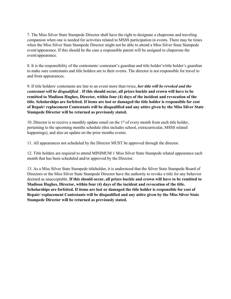7. The Miss Silver State Stampede Director shall have the right to designate a chaperone and traveling companion when one is needed for activities related to MSSS participation in events. There may be times when the Miss Silver State Stampede Director might not be able to attend a Miss Silver State Stampede event/appearance. If this should be the case a responsible parent will be assigned to chaperone the event/appearance.

8. It is the responsibility of the contestants/ contestant's guardian and title holder's/title holder's guardian to make sure contestants and title holders are to their events. The director is not responsible for travel to and from appearances.

9. If title holders/ contestants are late to an event more than twice, *her title will be revoked and the contestant will be disqualified*. . **If this should occur, all prizes buckle and crown will have to be remitted to Madison Hughes, Director, within four (4) days of the incident and revocation of the title. Scholarships are forfeited. If items are lost or damaged the title holder is responsible for cost of Repair/ replacement Contestants will be disqualified and any attire given by the Miss Silver State Stampede Director will be returned as previously stated.**

10. Director is to receive a monthly update email on the 1st of every month from each title holder, pertaining to the upcoming months schedule (this includes school, extracurricular, MSSS related happenings), and also an update on the prior months events.

11. All appearances not scheduled by the Director MUST be approved through the director.

12. Title holders are required to attend MINIMUM 1 Miss Silver State Stampede related appearance each month that has been scheduled and/or approved by the Director.

13. As a Miss Silver State Stampede titleholder, it is understood that the Silver State Stampede Board of Directors or the Miss Silver State Stampede Director have the authority to revoke a title for any behavior deemed as unacceptable. **If this should occur, all prizes buckle and crown will have to be remitted to Madison Hughes, Director, within four (4) days of the incident and revocation of the title. Scholarships are forfeited. If items are lost or damaged the title holder is responsible for cost of Repair/ replacement Contestants will be disqualified and any attire given by the Miss Silver State Stampede Director will be returned as previously stated.**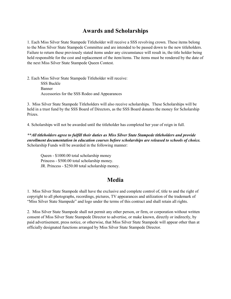# **Awards and Scholarships**

1. Each Miss Silver State Stampede Titleholder will receive a SSS revolving crown. These items belong to the Miss Silver State Stampede Committee and are intended to be passed down to the new titleholders. Failure to return these previously stated items under any circumstance will result in, the title holder being held responsible for the cost and replacement of the item/items. The items must be rendered by the date of the next Miss Silver State Stampede Queen Contest.

2. Each Miss Silver State Stampede Titleholder will receive: SSS Buckle Banner Accessories for the SSS Rodeo and Appearances

3. Miss Silver State Stampede Titleholders will also receive scholarships. These Scholarships will be held in a trust fund by the SSS Board of Directors, as the SSS Board donates the money for Scholarship Prizes.

4. Scholarships will not be awarded until the titleholder has completed her year of reign in full.

*\*\*All titleholders agree to fulfill their duties as Miss Silver State Stampede titleholders and provide enrollment documentation in education courses before scholarships are released to schools of choice.*  Scholarship Funds will be awarded in the following manner:

Queen - \$1000.00 total scholarship money Princess - \$500.00 total scholarship money. JR. Princess - \$250.00 total scholarship money.

## **Media**

1. Miss Silver State Stampede shall have the exclusive and complete control of, title to and the right of copyright to all photographs, recordings, pictures, TV appearances and utilization of the trademark of "Miss Silver State Stampede" and logo under the terms of this contract and shall retain all rights.

2. Miss Silver State Stampede shall not permit any other person, or firm, or corporation without written consent of Miss Silver State Stampede Director to advertise, or make known, directly or indirectly, by paid advertisement, press notice, or otherwise, that Miss Silver State Stampede will appear other than at officially designated functions arranged by Miss Silver State Stampede Director.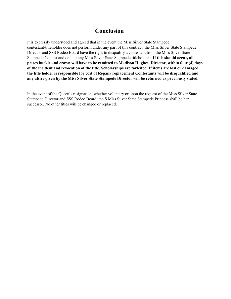## **Conclusion**

It is expressly understood and agreed that in the event the Miss Silver State Stampede contestant/titleholder does not perform under any part of this contract, the Miss Silver State Stampede Director and SSS Rodeo Board have the right to disqualify a contestant from the Miss Silver State Stampede Contest and default any Miss Silver State Stampede titleholder. . **If this should occur, all prizes buckle and crown will have to be remitted to Madison Hughes, Director, within four (4) days of the incident and revocation of the title. Scholarships are forfeited. If items are lost or damaged the title holder is responsible for cost of Repair/ replacement Contestants will be disqualified and any attire given by the Miss Silver State Stampede Director will be returned as previously stated.**

In the event of the Queen's resignation, whether voluntary or upon the request of the Miss Silver State Stampede Director and SSS Rodeo Board, the S Miss Silver State Stampede Princess shall be her successor. No other titles will be changed or replaced.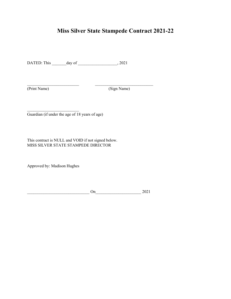# **Miss Silver State Stampede Contract 2021-22**

DATED: This \_\_\_\_\_\_\_day of \_\_\_\_\_\_\_\_\_\_\_\_\_\_\_\_\_\_\_, 2021

\_\_\_\_\_\_\_\_\_\_\_\_\_\_\_\_\_\_\_\_\_\_\_\_\_ \_\_\_\_\_\_\_\_\_\_\_\_\_\_\_\_\_\_\_\_\_\_\_\_\_\_\_\_

(Print Name) (Sign Name)

Guardian (if under the age of 18 years of age)

This contract is NULL and VOID if not signed below. MISS SILVER STATE STAMPEDE DIRECTOR

Approved by: Madison Hughes

\_\_\_\_\_\_\_\_\_\_\_\_\_\_\_\_\_\_\_\_\_\_\_\_\_

On 2021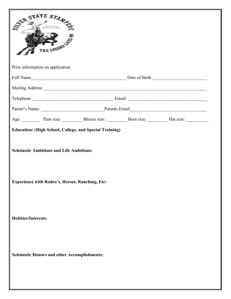|                           | STATE STAMPS<br>THE LEGEND                                                                                |  |                                                              |
|---------------------------|-----------------------------------------------------------------------------------------------------------|--|--------------------------------------------------------------|
|                           | Print information on application.                                                                         |  |                                                              |
|                           |                                                                                                           |  |                                                              |
|                           |                                                                                                           |  |                                                              |
|                           |                                                                                                           |  |                                                              |
|                           |                                                                                                           |  | Parent's Name: Parents Email Parents Email                   |
|                           |                                                                                                           |  | Age: Pant size: Blouse size: Boot size: Boot size: Hat size: |
|                           | <b>Scholastic Ambitions and Life Ambitions:</b><br><b>Experience with Rodeo's, Horses, Ranching, Etc:</b> |  |                                                              |
| <b>Hobbies/Interests:</b> |                                                                                                           |  |                                                              |
|                           | <b>Scholastic Honors and other Accomplishments:</b>                                                       |  |                                                              |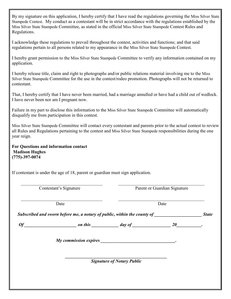| By my signature on this application, I hereby certify that I have read the regulations governing the Miss Silver State<br>Stampede Contest. My conduct as a contestant will be in strict accordance with the regulations established by the<br>Miss Silver State Stampede Committee, as stated in the official Miss Silver State Stampede Contest Rules and<br>Regulations. |                                                             |                              |  |
|-----------------------------------------------------------------------------------------------------------------------------------------------------------------------------------------------------------------------------------------------------------------------------------------------------------------------------------------------------------------------------|-------------------------------------------------------------|------------------------------|--|
| I acknowledge these regulations to prevail throughout the contest, activities and functions; and that said<br>regulations pertain to all persons related to my appearance in the Miss Silver State Stampede Contest.                                                                                                                                                        |                                                             |                              |  |
| I hereby grant permission to the Miss Silver State Stampede Committee to verify any information contained on my<br>application.                                                                                                                                                                                                                                             |                                                             |                              |  |
| I hereby release title, claim and right to photographs and/or public relations material involving me to the Miss<br>Silver State Stampede Committee for the use in the contest/rodeo promotion. Photographs will not be returned to<br>contestant.                                                                                                                          |                                                             |                              |  |
| That, I hereby certify that I have never been married, had a marriage annulled or have had a child out of wedlock.<br>I have never been nor am I pregnant now.                                                                                                                                                                                                              |                                                             |                              |  |
| Failure in my part to disclose this information to the Miss Silver State Stampede Committee will automatically<br>disqualify me from participation in this contest.                                                                                                                                                                                                         |                                                             |                              |  |
| Miss Silver State Stampede Committee will contact every contestant and parents prior to the actual contest to review<br>all Rules and Regulations pertaining to the contest and Miss Silver State Stampede responsibilities during the one<br>year reign.                                                                                                                   |                                                             |                              |  |
| For Questions and information contact<br><b>Madison Hughes</b><br>$(775) - 397 - 0074$                                                                                                                                                                                                                                                                                      |                                                             |                              |  |
| If contestant is under the age of 18, parent or guardian must sign application.                                                                                                                                                                                                                                                                                             |                                                             |                              |  |
| Contestant's Signature                                                                                                                                                                                                                                                                                                                                                      |                                                             | Parent or Guardian Signature |  |
| Date                                                                                                                                                                                                                                                                                                                                                                        |                                                             | Date                         |  |
| Subscribed and sworn before me, a notary of public, within the county of __________________________________State                                                                                                                                                                                                                                                            |                                                             |                              |  |
| $\boldsymbol{\theta}$ f                                                                                                                                                                                                                                                                                                                                                     | $\frac{1}{2}$ on this $\frac{1}{2}$ day of $\frac{1}{2}$ 20 |                              |  |
|                                                                                                                                                                                                                                                                                                                                                                             |                                                             |                              |  |
|                                                                                                                                                                                                                                                                                                                                                                             |                                                             |                              |  |
| <b>Signature of Notary Public</b>                                                                                                                                                                                                                                                                                                                                           |                                                             |                              |  |
|                                                                                                                                                                                                                                                                                                                                                                             |                                                             |                              |  |
|                                                                                                                                                                                                                                                                                                                                                                             |                                                             |                              |  |